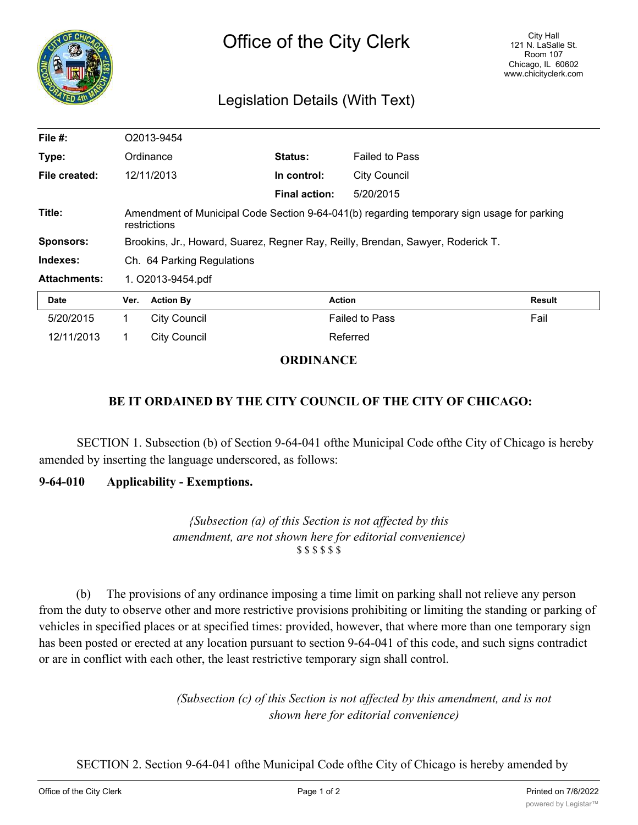

# Legislation Details (With Text)

| File $#$ :          | O2013-9454                                                                      |                                                                                                            |                      |                       |        |  |
|---------------------|---------------------------------------------------------------------------------|------------------------------------------------------------------------------------------------------------|----------------------|-----------------------|--------|--|
| Type:               | Ordinance                                                                       |                                                                                                            | Status:              | <b>Failed to Pass</b> |        |  |
| File created:       |                                                                                 | 12/11/2013                                                                                                 | In control:          | <b>City Council</b>   |        |  |
|                     |                                                                                 |                                                                                                            | <b>Final action:</b> | 5/20/2015             |        |  |
| Title:              |                                                                                 | Amendment of Municipal Code Section 9-64-041(b) regarding temporary sign usage for parking<br>restrictions |                      |                       |        |  |
| <b>Sponsors:</b>    | Brookins, Jr., Howard, Suarez, Regner Ray, Reilly, Brendan, Sawyer, Roderick T. |                                                                                                            |                      |                       |        |  |
| Indexes:            | Ch. 64 Parking Regulations                                                      |                                                                                                            |                      |                       |        |  |
| <b>Attachments:</b> | 1. O2013-9454.pdf                                                               |                                                                                                            |                      |                       |        |  |
| <b>Date</b>         | Ver.                                                                            | <b>Action By</b>                                                                                           | <b>Action</b>        |                       | Result |  |
| 5/20/2015           | 1.                                                                              | <b>City Council</b>                                                                                        |                      | <b>Failed to Pass</b> | Fail   |  |
| 12/11/2013          |                                                                                 | <b>City Council</b>                                                                                        |                      | Referred              |        |  |

## **ORDINANCE**

## **BE IT ORDAINED BY THE CITY COUNCIL OF THE CITY OF CHICAGO:**

SECTION 1. Subsection (b) of Section 9-64-041 ofthe Municipal Code ofthe City of Chicago is hereby amended by inserting the language underscored, as follows:

#### **9-64-010 Applicability - Exemptions.**

*{Subsection (a) of this Section is not affected by this amendment, are not shown here for editorial convenience)* \$ \$ \$ \$ \$ \$

(b) The provisions of any ordinance imposing a time limit on parking shall not relieve any person from the duty to observe other and more restrictive provisions prohibiting or limiting the standing or parking of vehicles in specified places or at specified times: provided, however, that where more than one temporary sign has been posted or erected at any location pursuant to section 9-64-041 of this code, and such signs contradict or are in conflict with each other, the least restrictive temporary sign shall control.

> *(Subsection (c) of this Section is not affected by this amendment, and is not shown here for editorial convenience)*

SECTION 2. Section 9-64-041 ofthe Municipal Code ofthe City of Chicago is hereby amended by